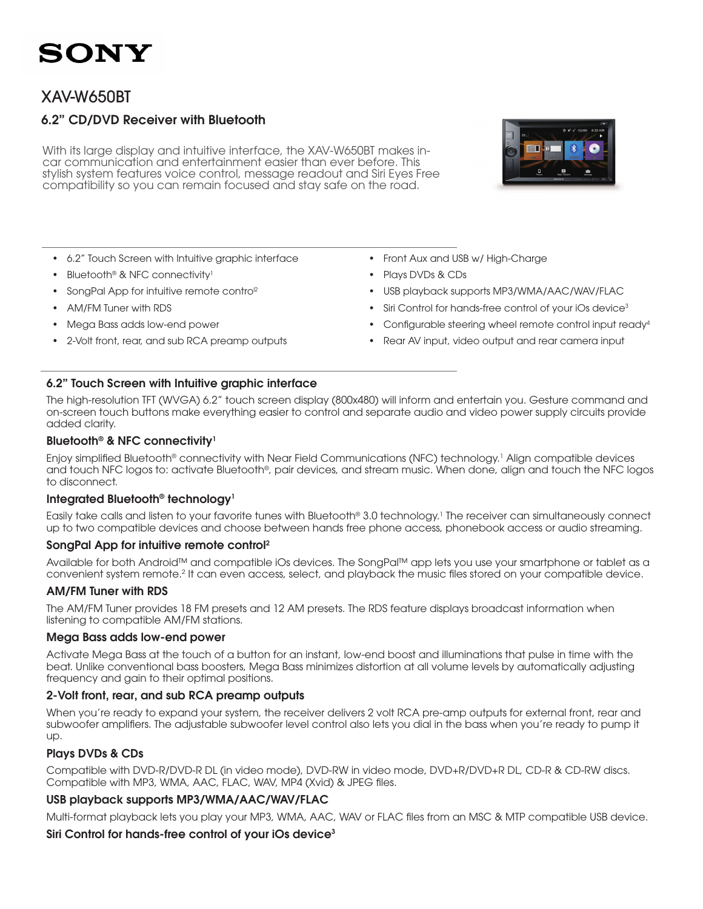### XAV-W650BT

### 6.2" CD/DVD Receiver with Bluetooth

With its large display and intuitive interface, the XAV-W650BT makes incar communication and entertainment easier than ever before. This stylish system features voice control, message readout and Siri Eyes Free compatibility so you can remain focused and stay safe on the road.

- • 6.2" Touch Screen with Intuitive graphic interface
- Bluetooth® & NFC connectivity<sup>1</sup>
- SongPal App for intuitive remote contro<sup>12</sup>
- AM/FM Tuner with RDS
- Mega Bass adds low-end power
- 2-Volt front, rear, and sub RCA preamp outputs
- Front Aux and USB w/ High-Charge
- • Plays DVDs & CDs
- USB playback supports MP3/WMA/AAC/WAV/FLAC
- Siri Control for hands-free control of your iOs device<sup>3</sup>
- Configurable steering wheel remote control input ready<sup>4</sup>
- Rear AV input, video output and rear camera input

#### 6.2" Touch Screen with Intuitive graphic interface

The high-resolution TFT (WVGA) 6.2" touch screen display (800x480) will inform and entertain you. Gesture command and on-screen touch buttons make everything easier to control and separate audio and video power supply circuits provide added clarity.

#### Bluetooth<sup>®</sup> & NFC connectivity<sup>1</sup>

Enjoy simplified Bluetooth® connectivity with Near Field Communications (NFC) technology.1 Align compatible devices and touch NFC logos to: activate Bluetooth®, pair devices, and stream music. When done, align and touch the NFC logos to disconnect.

#### Integrated Bluetooth<sup>®</sup> technology<sup>1</sup>

Easily take calls and listen to your favorite tunes with Bluetooth® 3.0 technology.1 The receiver can simultaneously connect up to two compatible devices and choose between hands free phone access, phonebook access or audio streaming.

#### SongPal App for intuitive remote control2

Available for both Android™ and compatible iOs devices. The SongPal™ app lets you use your smartphone or tablet as a convenient system remote.<sup>2</sup> It can even access, select, and playback the music files stored on your compatible device.

#### AM/FM Tuner with RDS

The AM/FM Tuner provides 18 FM presets and 12 AM presets. The RDS feature displays broadcast information when listening to compatible AM/FM stations.

#### Mega Bass adds low-end power

Activate Mega Bass at the touch of a button for an instant, low-end boost and illuminations that pulse in time with the beat. Unlike conventional bass boosters, Mega Bass minimizes distortion at all volume levels by automatically adjusting frequency and gain to their optimal positions.

#### 2-Volt front, rear, and sub RCA preamp outputs

When you're ready to expand your system, the receiver delivers 2 volt RCA pre-amp outputs for external front, rear and subwoofer amplifiers. The adjustable subwoofer level control also lets you dial in the bass when you're ready to pump it up.

#### Plays DVDs & CDs

Compatible with DVD-R/DVD-R DL (in video mode), DVD-RW in video mode, DVD+R/DVD+R DL, CD-R & CD-RW discs. Compatible with MP3, WMA, AAC, FLAC, WAV, MP4 (Xvid) & JPEG files.

#### USB playback supports MP3/WMA/AAC/WAV/FLAC

Multi-format playback lets you play your MP3, WMA, AAC, WAV or FLAC files from an MSC & MTP compatible USB device.

#### Siri Control for hands-free control of your iOs device<sup>3</sup>

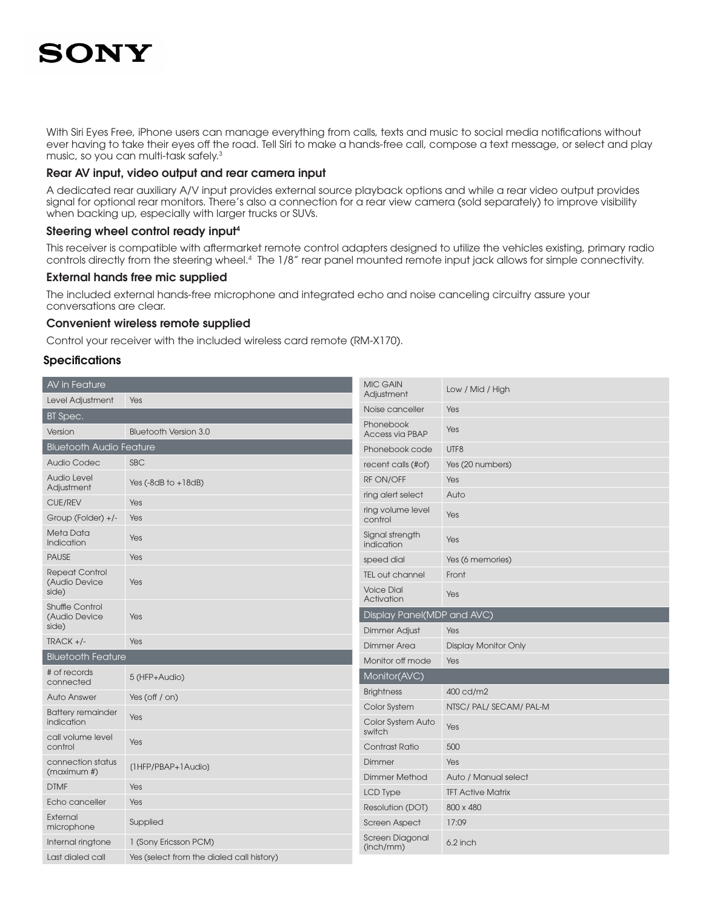With Siri Eyes Free, iPhone users can manage everything from calls, texts and music to social media notifications without ever having to take their eyes off the road. Tell Siri to make a hands-free call, compose a text message, or select and play music, so you can multi-task safely.<sup>3</sup>

#### Rear AV input, video output and rear camera input

A dedicated rear auxiliary A/V input provides external source playback options and while a rear video output provides signal for optional rear monitors. There's also a connection for a rear view camera (sold separately) to improve visibility when backing up, especially with larger trucks or SUVs.

#### Steering wheel control ready input4

This receiver is compatible with aftermarket remote control adapters designed to utilize the vehicles existing, primary radio controls directly from the steering wheel.4 The 1/8" rear panel mounted remote input jack allows for simple connectivity.

#### External hands free mic supplied

The included external hands-free microphone and integrated echo and noise canceling circuitry assure your conversations are clear.

#### Convenient wireless remote supplied

Control your receiver with the included wireless card remote (RM-X170).

#### **Specifications**

| AV in Feature                                    |                                           | <b>MIC GAIN</b><br>Adjustment   | Low / Mid / High            |  |
|--------------------------------------------------|-------------------------------------------|---------------------------------|-----------------------------|--|
| Level Adjustment                                 | Yes                                       | Noise canceller                 | Yes                         |  |
| BT Spec.                                         |                                           |                                 |                             |  |
| Version                                          | <b>Bluetooth Version 3.0</b>              | Phonebook<br>Access via PBAP    | Yes                         |  |
| <b>Bluetooth Audio Feature</b>                   |                                           | Phonebook code                  | UTF8                        |  |
| <b>Audio Codec</b>                               | <b>SBC</b>                                | recent calls (#of)              | Yes (20 numbers)            |  |
| <b>Audio Level</b><br>Adjustment                 | Yes $(-8dB$ to $+18dB)$                   | <b>RF ON/OFF</b>                | Yes                         |  |
| <b>CUE/REV</b>                                   | Yes                                       | ring alert select               | Auto                        |  |
| Group (Folder) +/-                               | Yes                                       | ring volume level<br>control    | Yes                         |  |
| Meta Data<br>Indication                          | Yes                                       | Signal strength<br>indication   | Yes                         |  |
| <b>PAUSE</b>                                     | Yes                                       | speed dial                      | Yes (6 memories)            |  |
| <b>Repeat Control</b><br>(Audio Device<br>side)  | Yes                                       | <b>TEL out channel</b>          | Front                       |  |
|                                                  |                                           | <b>Voice Dial</b><br>Activation | Yes                         |  |
| <b>Shuffle Control</b><br>(Audio Device<br>side) | Yes                                       | Display Panel(MDP and AVC)      |                             |  |
|                                                  |                                           | <b>Dimmer Adjust</b>            | Yes                         |  |
| $TRACK +/-$                                      | Yes                                       | <b>Dimmer Area</b>              | <b>Display Monitor Only</b> |  |
| <b>Bluetooth Feature</b>                         |                                           | Monitor off mode                | Yes                         |  |
| # of records<br>connected                        | 5 (HFP+Audio)                             | Monitor(AVC)                    |                             |  |
| <b>Auto Answer</b>                               | Yes (off $/$ on)                          | <b>Brightness</b>               | 400 cd/m2                   |  |
| <b>Battery remainder</b>                         |                                           | Color System                    | NTSC/PAL/SECAM/PAL-M        |  |
| indication                                       | Yes                                       | Color System Auto<br>switch     | Yes                         |  |
| call volume level<br>control                     | Yes                                       | Contrast Ratio                  | 500                         |  |
| connection status<br>(maximum #)                 | (1HFP/PBAP+1Audio)                        | Dimmer                          | Yes                         |  |
| <b>DTMF</b>                                      | Yes                                       | <b>Dimmer Method</b>            | Auto / Manual select        |  |
| Echo canceller                                   | Yes                                       | <b>LCD Type</b>                 | <b>TFT Active Matrix</b>    |  |
|                                                  |                                           | Resolution (DOT)                | 800 x 480                   |  |
| External<br>microphone                           | Supplied                                  | <b>Screen Aspect</b>            | 17:09                       |  |
| Internal ringtone                                | 1 (Sony Ericsson PCM)                     | Screen Diagonal<br>(inch/mm)    | 6.2 inch                    |  |
| Last dialed call                                 | Yes (select from the dialed call history) |                                 |                             |  |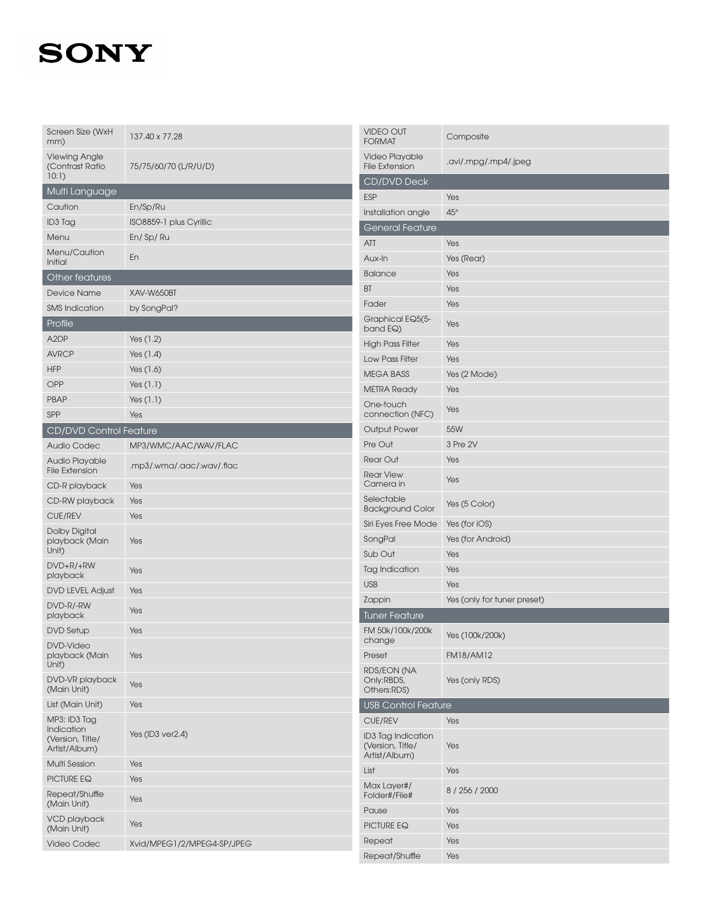| Screen Size (WxH<br>mm)                         | 137.40 x 77.28             | <b>VIDEO OUT</b><br><b>FORMAT</b>             | Composite                   |
|-------------------------------------------------|----------------------------|-----------------------------------------------|-----------------------------|
| <b>Viewing Angle</b><br>(Contrast Ratio         | 75/75/60/70 (L/R/U/D)      | Video Playable<br><b>File Extension</b>       | .avi/.mpg/.mp4/.jpeg        |
| 10:1                                            |                            | CD/DVD Deck                                   |                             |
| Multi Language                                  |                            | <b>ESP</b>                                    | Yes                         |
| Caution                                         | En/Sp/Ru                   | Installation angle                            | $45^{\circ}$                |
| ID3 Tag                                         | ISO8859-1 plus Cyrillic    | General Feature                               |                             |
| Menu                                            | En/Sp/Ru                   | ATT                                           | Yes                         |
| Menu/Caution<br>Initial                         | En                         | Aux-In                                        | Yes (Rear)                  |
| Other features                                  |                            | <b>Balance</b>                                | Yes                         |
| <b>Device Name</b>                              | XAV-W650BT                 | BT                                            | Yes                         |
| <b>SMS</b> Indication                           | by SongPal?                | Fader                                         | Yes                         |
| Profile                                         |                            | Graphical EQ5(5-                              |                             |
|                                                 |                            | band EQ)                                      | Yes                         |
| A <sub>2</sub> DP                               | Yes $(1.2)$                | <b>High Pass Filter</b>                       | Yes                         |
| <b>AVRCP</b>                                    | Yes $(1.4)$                | Low Pass Filter                               | Yes                         |
| <b>HFP</b>                                      | Yes (1.6)                  | <b>MEGA BASS</b>                              | Yes (2 Mode)                |
| OPP                                             | Yes $(1.1)$                | <b>METRA Ready</b>                            | Yes                         |
| <b>PBAP</b>                                     | Yes $(1.1)$                | One-touch                                     | Yes                         |
| SPP                                             | Yes                        | connection (NFC)                              |                             |
| <b>CD/DVD Control Feature</b>                   |                            | <b>Output Power</b>                           | 55W                         |
| <b>Audio Codec</b>                              | MP3/WMC/AAC/WAV/FLAC       | Pre Out                                       | 3 Pre 2V                    |
| Audio Playable<br><b>File Extension</b>         | .mp3/.wma/.aac/.wav/.flac  | <b>Rear Out</b>                               | Yes                         |
| CD-R playback                                   | Yes                        | <b>Rear View</b><br>Camera in                 | Yes                         |
| CD-RW playback                                  | Yes                        | Selectable                                    | Yes (5 Color)               |
| <b>CUE/REV</b>                                  | Yes                        | <b>Background Color</b>                       |                             |
| <b>Dolby Digital</b>                            | Yes                        | Siri Eyes Free Mode                           | Yes (for iOS)               |
| playback (Main<br>Unit)                         |                            | SongPal                                       | Yes (for Android)           |
| DVD+R/+RW                                       |                            | Sub Out                                       | Yes                         |
| playback                                        | Yes                        | Tag Indication                                | Yes                         |
| <b>DVD LEVEL Adjust</b>                         | Yes                        | <b>USB</b>                                    | Yes                         |
| DVD-R/-RW<br>playback                           | Yes                        | Zappin<br>Tuner Feature                       | Yes (only for tuner preset) |
| <b>DVD Setup</b>                                | Yes                        | FM 50k/100k/200k                              |                             |
| DVD-Video                                       |                            | change                                        | Yes (100k/200k)             |
| playback (Main                                  | Yes                        | Preset                                        | <b>FM18/AM12</b>            |
| Unit)                                           |                            | <b>RDS/EON (NA</b>                            |                             |
| DVD-VR playback<br>(Main Unit)                  | Yes                        | Only:RBDS,<br>Others:RDS)                     | Yes (only RDS)              |
| List (Main Unit)                                | Yes                        | <b>USB Control Feature</b>                    |                             |
| MP3: ID3 Tag                                    |                            | <b>CUE/REV</b>                                | Yes                         |
| Indication<br>(Version, Title/<br>Artist/Album) | Yes (ID3 ver2.4)           | <b>ID3 Tag Indication</b><br>(Version, Title/ | Yes                         |
| <b>Multi Session</b>                            | Yes                        | Artist/Album)                                 |                             |
| PICTURE EQ                                      | Yes                        | List                                          | Yes                         |
| Repeat/Shuffle<br>(Main Unit)                   | Yes                        | Max Layer#/<br>Folder#/File#                  | 8 / 256 / 2000              |
| VCD playback                                    |                            | Pause                                         | Yes                         |
| (Main Unit)                                     | Yes                        | PICTURE EQ                                    | Yes                         |
| Video Codec                                     | Xvid/MPEG1/2/MPEG4-SP/JPEG | Repeat                                        | Yes                         |
|                                                 |                            | Repeat/Shuffle                                | Yes                         |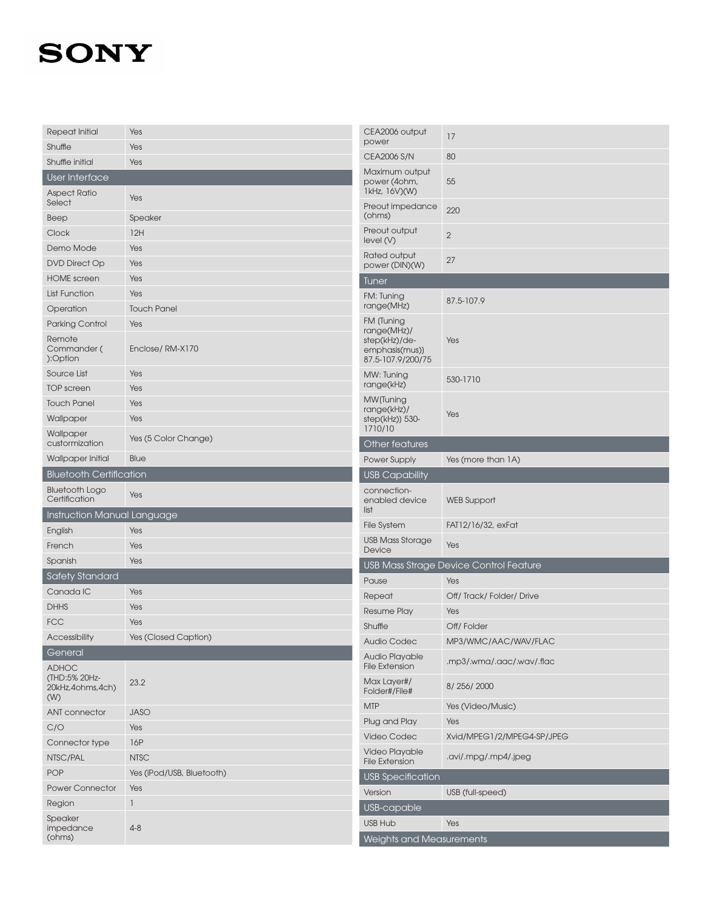| Repeat Initial                         | Yes                       | CEA2006 output                                       | 17                                     |  |
|----------------------------------------|---------------------------|------------------------------------------------------|----------------------------------------|--|
| Shuffle                                | Yes                       | power                                                |                                        |  |
| Shuffle initial                        | Yes                       | <b>CEA2006 S/N</b>                                   | 80                                     |  |
| User Interface                         |                           | Maximum output<br>power (4ohm,<br>1kHz, 16V)(W)      | 55                                     |  |
| <b>Aspect Ratio</b><br>Select          | Yes                       | Preout impedance                                     | 220                                    |  |
| Beep                                   | Speaker                   | (ohms)                                               |                                        |  |
| Clock                                  | 12H                       | Preout output<br>level(V)                            | $\overline{2}$                         |  |
| Demo Mode                              | Yes                       | Rated output                                         |                                        |  |
| <b>DVD Direct Op</b>                   | Yes                       | power (DIN)(W)                                       | 27                                     |  |
| <b>HOME</b> screen                     | Yes                       | <b>Tuner</b>                                         |                                        |  |
| <b>List Function</b>                   | Yes                       | FM: Tuning                                           | 87.5-107.9                             |  |
| Operation                              | <b>Touch Panel</b>        | range(MHz)                                           |                                        |  |
| Parking Control                        | Yes                       | FM (Tuning<br>range(MHz)/                            |                                        |  |
| Remote<br>Commander (<br>):Option      | Enclose/RM-X170           | step(kHz)/de-<br>emphasis(mus))<br>87.5-107.9/200/75 | Yes                                    |  |
| Source List                            | Yes                       | MW: Tuning                                           | 530-1710                               |  |
| <b>TOP</b> screen                      | Yes                       | range(kHz)                                           |                                        |  |
| <b>Touch Panel</b>                     | Yes                       | MW (Tuning<br>range(kHz)/                            |                                        |  |
| Wallpaper                              | Yes                       | step(kHz)) 530-<br>1710/10                           | Yes                                    |  |
| Wallpaper<br>custormization            | Yes (5 Color Change)      | Other features                                       |                                        |  |
| Wallpaper Initial                      | Blue                      | Power Supply                                         | Yes (more than 1A)                     |  |
| <b>Bluetooth Certification</b>         |                           | <b>USB Capability</b>                                |                                        |  |
|                                        |                           |                                                      |                                        |  |
| <b>Bluetooth Logo</b><br>Certification | Yes                       | connection-<br>enabled device                        | <b>WEB Support</b>                     |  |
| <b>Instruction Manual Language</b>     |                           | list                                                 |                                        |  |
| English                                | Yes                       | <b>File System</b>                                   | FAT12/16/32, exFat                     |  |
| French                                 | Yes                       | <b>USB Mass Storage</b><br>Device                    | Yes                                    |  |
| Spanish                                | Yes                       |                                                      | USB Mass Strage Device Control Feature |  |
| <b>Safety Standard</b>                 |                           | Pause                                                | Yes                                    |  |
| Canada IC                              | Yes                       | Repeat                                               | Off/Track/Folder/Drive                 |  |
| <b>DHHS</b>                            | Yes                       | <b>Resume Play</b>                                   | Yes                                    |  |
| <b>FCC</b>                             | Yes                       | Shuffle                                              | Off/Folder                             |  |
| Accessibility                          | Yes (Closed Caption)      | Audio Codec                                          | MP3/WMC/AAC/WAV/FLAC                   |  |
| General<br><b>ADHOC</b>                |                           | Audio Playable<br><b>File Extension</b>              | .mp3/.wma/.aac/.wav/.flac              |  |
| (THD:5% 20Hz-<br>20kHz,4ohms,4ch)      | 23.2                      | Max Layer#/<br>Folder#/File#                         | 8/256/2000                             |  |
| (W)                                    |                           | <b>MTP</b>                                           | Yes (Video/Music)                      |  |
| ANT connector                          | <b>JASO</b>               | Plug and Play                                        | Yes                                    |  |
| C/O                                    | Yes                       | Video Codec                                          | Xvid/MPEG1/2/MPEG4-SP/JPEG             |  |
| Connector type<br>NTSC/PAL             | 16P<br><b>NTSC</b>        | Video Playable                                       | .avi/.mpg/.mp4/.jpeg                   |  |
| POP                                    | Yes (iPod/USB, Bluetooth) | <b>File Extension</b>                                |                                        |  |
| <b>Power Connector</b>                 | Yes                       | <b>USB Specification</b>                             |                                        |  |
| Region                                 | -1                        | Version                                              | USB (full-speed)                       |  |
| Speaker<br>impedance                   |                           | USB-capable<br><b>USB Hub</b>                        | Yes                                    |  |